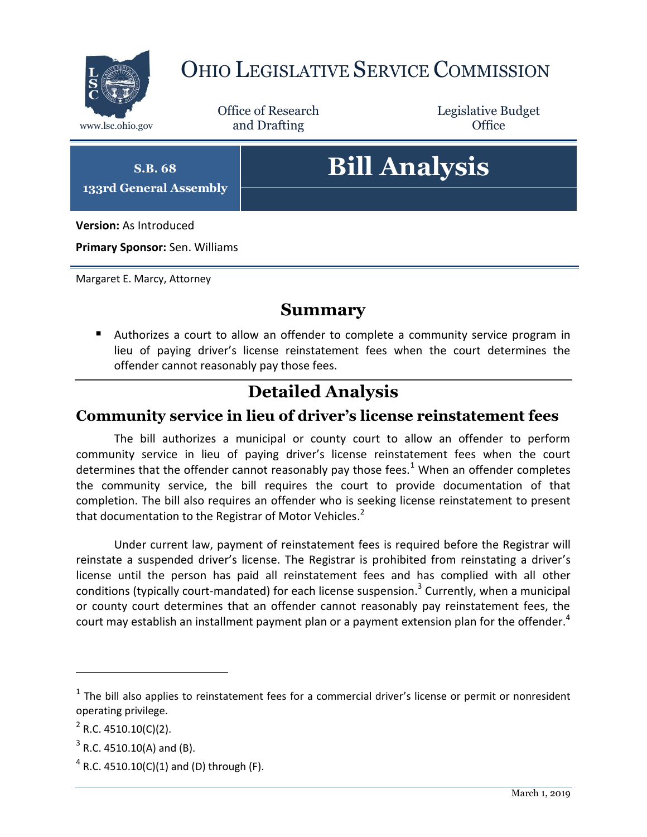

## OHIO LEGISLATIVE SERVICE COMMISSION

Office of Research www.lsc.ohio.gov and Drafting Control Control of Control Control Office

Legislative Budget

**S.B. 68 133rd General Assembly**

# **Bill Analysis**

**Version:** As Introduced

**Primary Sponsor:** Sen. Williams

Margaret E. Marcy, Attorney

#### **Summary**

 Authorizes a court to allow an offender to complete a community service program in lieu of paying driver's license reinstatement fees when the court determines the offender cannot reasonably pay those fees.

### **Detailed Analysis**

#### **Community service in lieu of driver's license reinstatement fees**

The bill authorizes a municipal or county court to allow an offender to perform community service in lieu of paying driver's license reinstatement fees when the court determines that the offender cannot reasonably pay those fees.<sup>1</sup> When an offender completes the community service, the bill requires the court to provide documentation of that completion. The bill also requires an offender who is seeking license reinstatement to present that documentation to the Registrar of Motor Vehicles.<sup>2</sup>

Under current law, payment of reinstatement fees is required before the Registrar will reinstate a suspended driver's license. The Registrar is prohibited from reinstating a driver's license until the person has paid all reinstatement fees and has complied with all other conditions (typically court-mandated) for each license suspension.<sup>3</sup> Currently, when a municipal or county court determines that an offender cannot reasonably pay reinstatement fees, the court may establish an installment payment plan or a payment extension plan for the offender.<sup>4</sup>

 $\overline{a}$ 

 $<sup>1</sup>$  The bill also applies to reinstatement fees for a commercial driver's license or permit or nonresident</sup> operating privilege.

 $2^2$  R.C. 4510.10(C)(2).

 $3$  R.C. 4510.10(A) and (B).

 $4$  R.C. 4510.10(C)(1) and (D) through (F).